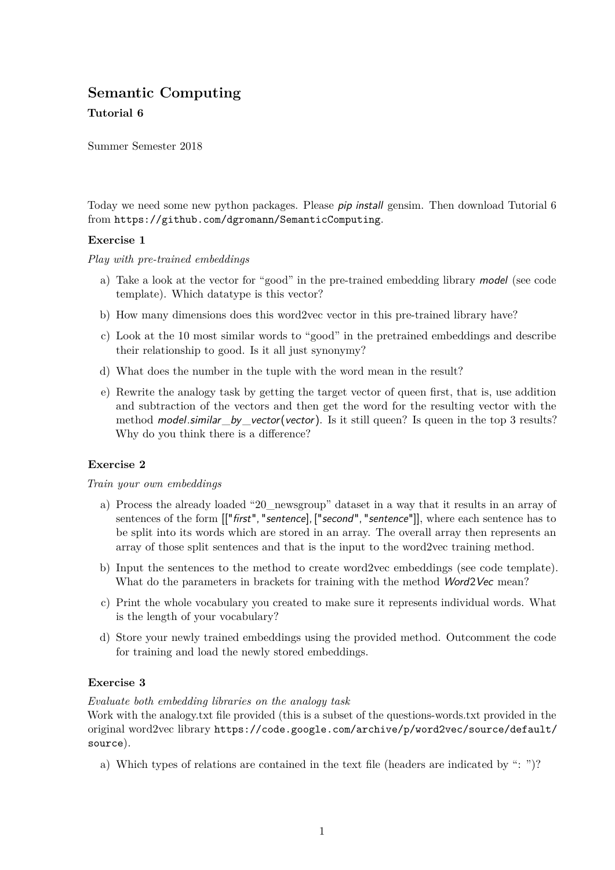# **Semantic Computing**

## **Tutorial 6**

Summer Semester 2018

Today we need some new python packages. Please pip install gensim. Then download Tutorial 6 from https://github.com/dgromann/SemanticComputing.

## **Exercise 1**

*Play with pre-trained embeddings*

- a) Take a look at the vector for "good" in the pre-trained embedding library model (see code template). Which datatype is this vector?
- b) How many dimensions does this word2vec vector in this pre-trained library have?
- c) Look at the 10 most similar words to "good" in the pretrained embeddings and describe their relationship to good. Is it all just synonymy?
- d) What does the number in the tuple with the word mean in the result?
- e) Rewrite the analogy task by getting the target vector of queen first, that is, use addition and subtraction of the vectors and then get the word for the resulting vector with the method model.similar\_by\_vector(vector). Is it still queen? Is queen in the top 3 results? Why do you think there is a difference?

## **Exercise 2**

## *Train your own embeddings*

- a) Process the already loaded "20\_newsgroup" dataset in a way that it results in an array of sentences of the form  $[["first", "sentence], ["second", "sentence"]]$ , where each sentence has to be split into its words which are stored in an array. The overall array then represents an array of those split sentences and that is the input to the word2vec training method.
- b) Input the sentences to the method to create word2vec embeddings (see code template). What do the parameters in brackets for training with the method *Word2Vec* mean?
- c) Print the whole vocabulary you created to make sure it represents individual words. What is the length of your vocabulary?
- d) Store your newly trained embeddings using the provided method. Outcomment the code for training and load the newly stored embeddings.

## **Exercise 3**

## *Evaluate both embedding libraries on the analogy task*

Work with the analogy.txt file provided (this is a subset of the questions-words.txt provided in the original word2vec library https://code.google.com/archive/p/word2vec/source/default/ source).

a) Which types of relations are contained in the text file (headers are indicated by ": ")?